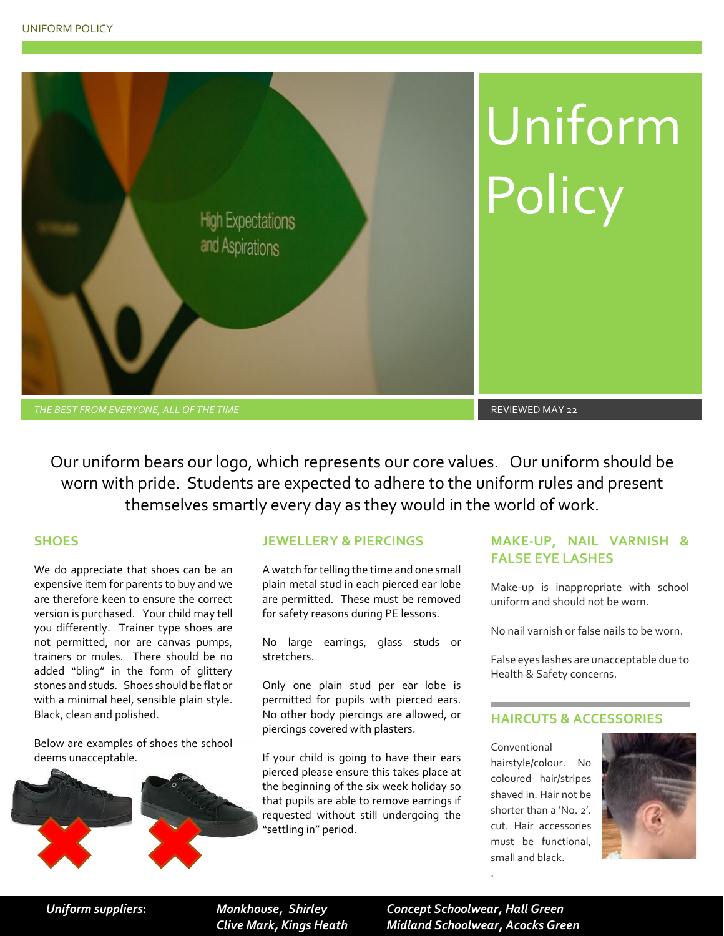

Our uniform bears our logo, which represents our core values. Our uniform should be worn with pride. Students are expected to adhere to the uniform rules and present themselves smartly every day as they would in the world of work.

### **SHOES**

We do appreciate that shoes can be an expensive item for parents to buy and we are therefore keen to ensure the correct version is purchased. Your child may tell you differently. Trainer type shoes are not permitted, nor are canvas pumps, trainers or mules. There should be no added "bling" in the form of glittery stones and studs. Shoes should be flat or with a minimal heel, sensible plain style. Black, clean and polished.

Below are examples of shoes the school deems unacceptable.



### **JEWELLERY & PIERCINGS**

A watch for telling the time and one small plain metal stud in each pierced ear lobe are permitted. These must be removed for safety reasons during PE lessons.

No large earrings, glass studs or stretchers.

Only one plain stud per ear lobe is permitted for pupils with pierced ears. No other body piercings are allowed, or piercings covered with plasters.

If your child is going to have their ears pierced please ensure this takes place at the beginning of the six week holiday so that pupils are able to remove earrings if requested without still undergoing the "settling in" period.

### **MAKE-UP, NAIL VARNISH & FALSE EYE LASHES**

Make-up is inappropriate with school uniform and should not be worn.

No nail varnish or false nails to be worn.

False eyes lashes are unacceptable due to Health & Safety concerns.

#### **HAIRCUTS & ACCESSORIES**

Conventional hairstyle/colour. No coloured hair/stripes shaved in. Hair not be shorter than a 'No. 2'. cut. Hair accessories must be functional, small and black.



*Uniform suppliers***:** *Monkhouse, Shirley Concept Schoolwear, Hall Green Clive Mark, Kings Heath Midland Schoolwear, Acocks Green*

.